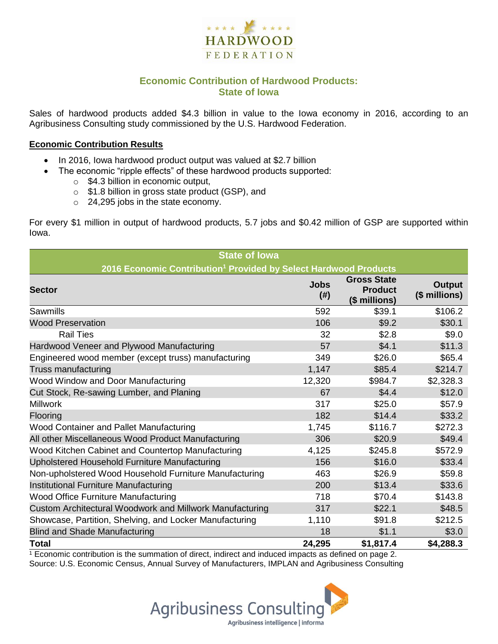

## **Economic Contribution of Hardwood Products: State of Iowa**

Sales of hardwood products added \$4.3 billion in value to the Iowa economy in 2016, according to an Agribusiness Consulting study commissioned by the U.S. Hardwood Federation.

#### **Economic Contribution Results**

- In 2016, Iowa hardwood product output was valued at \$2.7 billion
	- The economic "ripple effects" of these hardwood products supported:
		- o \$4.3 billion in economic output,
		- o \$1.8 billion in gross state product (GSP), and
		- o 24,295 jobs in the state economy.

For every \$1 million in output of hardwood products, 5.7 jobs and \$0.42 million of GSP are supported within Iowa.

| <b>State of Iowa</b>                                                         |                     |                                                       |                                |  |  |  |
|------------------------------------------------------------------------------|---------------------|-------------------------------------------------------|--------------------------------|--|--|--|
| 2016 Economic Contribution <sup>1</sup> Provided by Select Hardwood Products |                     |                                                       |                                |  |  |  |
| <b>Sector</b>                                                                | <b>Jobs</b><br>(# ) | <b>Gross State</b><br><b>Product</b><br>(\$ millions) | <b>Output</b><br>(\$ millions) |  |  |  |
| Sawmills                                                                     | 592                 | \$39.1                                                | \$106.2                        |  |  |  |
| <b>Wood Preservation</b>                                                     | 106                 | \$9.2                                                 | \$30.1                         |  |  |  |
| <b>Rail Ties</b>                                                             | 32                  | \$2.8                                                 | \$9.0                          |  |  |  |
| Hardwood Veneer and Plywood Manufacturing                                    | 57                  | \$4.1                                                 | \$11.3                         |  |  |  |
| Engineered wood member (except truss) manufacturing                          | 349                 | \$26.0                                                | \$65.4                         |  |  |  |
| Truss manufacturing                                                          | 1,147               | \$85.4                                                | \$214.7                        |  |  |  |
| Wood Window and Door Manufacturing                                           | 12,320              | \$984.7                                               | \$2,328.3                      |  |  |  |
| Cut Stock, Re-sawing Lumber, and Planing                                     | 67                  | \$4.4                                                 | \$12.0                         |  |  |  |
| <b>Millwork</b>                                                              | 317                 | \$25.0                                                | \$57.9                         |  |  |  |
| Flooring                                                                     | 182                 | \$14.4                                                | \$33.2                         |  |  |  |
| Wood Container and Pallet Manufacturing                                      | 1,745               | \$116.7                                               | \$272.3                        |  |  |  |
| All other Miscellaneous Wood Product Manufacturing                           | 306                 | \$20.9                                                | \$49.4                         |  |  |  |
| Wood Kitchen Cabinet and Countertop Manufacturing                            | 4,125               | \$245.8                                               | \$572.9                        |  |  |  |
| Upholstered Household Furniture Manufacturing                                | 156                 | \$16.0                                                | \$33.4                         |  |  |  |
| Non-upholstered Wood Household Furniture Manufacturing                       | 463                 | \$26.9                                                | \$59.8                         |  |  |  |
| Institutional Furniture Manufacturing                                        | 200                 | \$13.4                                                | \$33.6                         |  |  |  |
| Wood Office Furniture Manufacturing                                          | 718                 | \$70.4                                                | \$143.8                        |  |  |  |
| Custom Architectural Woodwork and Millwork Manufacturing                     | 317                 | \$22.1                                                | \$48.5                         |  |  |  |
| Showcase, Partition, Shelving, and Locker Manufacturing                      | 1,110               | \$91.8                                                | \$212.5                        |  |  |  |
| <b>Blind and Shade Manufacturing</b>                                         | 18                  | \$1.1                                                 | \$3.0                          |  |  |  |
| <b>Total</b>                                                                 | 24,295              | \$1,817.4                                             | \$4,288.3                      |  |  |  |

 $1$  Economic contribution is the summation of direct, indirect and induced impacts as defined on page 2. Source: U.S. Economic Census, Annual Survey of Manufacturers, IMPLAN and Agribusiness Consulting